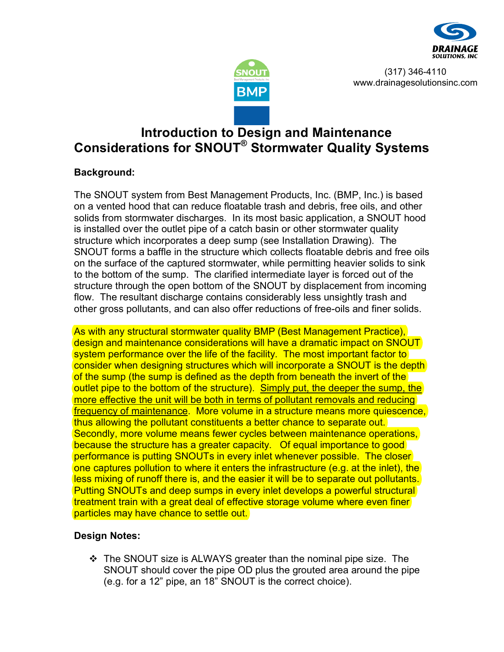



(317) 346-4110 www.drainagesolutionsinc.com

# **Introduction to Design and Maintenance Considerations for SNOUT® Stormwater Quality Systems**

## **Background:**

The SNOUT system from Best Management Products, Inc. (BMP, Inc.) is based on a vented hood that can reduce floatable trash and debris, free oils, and other solids from stormwater discharges. In its most basic application, a SNOUT hood is installed over the outlet pipe of a catch basin or other stormwater quality structure which incorporates a deep sump (see Installation Drawing). The SNOUT forms a baffle in the structure which collects floatable debris and free oils on the surface of the captured stormwater, while permitting heavier solids to sink to the bottom of the sump. The clarified intermediate layer is forced out of the structure through the open bottom of the SNOUT by displacement from incoming flow. The resultant discharge contains considerably less unsightly trash and other gross pollutants, and can also offer reductions of free-oils and finer solids.

As with any structural stormwater quality BMP (Best Management Practice), design and maintenance considerations will have a dramatic impact on SNOUT system performance over the life of the facility. The most important factor to consider when designing structures which will incorporate a SNOUT is the depth of the sump (the sump is defined as the depth from beneath the invert of the outlet pipe to the bottom of the structure). Simply put, the deeper the sump, the more effective the unit will be both in terms of pollutant removals and reducing frequency of maintenance. More volume in a structure means more quiescence, thus allowing the pollutant constituents a better chance to separate out. Secondly, more volume means fewer cycles between maintenance operations, because the structure has a greater capacity. Of equal importance to good performance is putting SNOUTs in every inlet whenever possible. The closer one captures pollution to where it enters the infrastructure (e.g. at the inlet), the less mixing of runoff there is, and the easier it will be to separate out pollutants. Putting SNOUTs and deep sumps in every inlet develops a powerful structural treatment train with a great deal of effective storage volume where even finer particles may have chance to settle out.

## **Design Notes:**

 The SNOUT size is ALWAYS greater than the nominal pipe size. The SNOUT should cover the pipe OD plus the grouted area around the pipe (e.g. for a 12" pipe, an 18" SNOUT is the correct choice).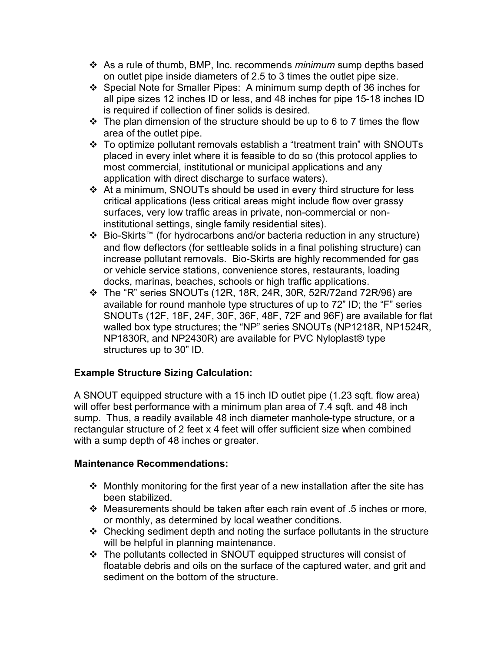- As a rule of thumb, BMP, Inc. recommends *minimum* sump depths based on outlet pipe inside diameters of 2.5 to 3 times the outlet pipe size.
- Special Note for Smaller Pipes: A minimum sump depth of 36 inches for all pipe sizes 12 inches ID or less, and 48 inches for pipe 15-18 inches ID is required if collection of finer solids is desired.
- $\cdot \cdot$  The plan dimension of the structure should be up to 6 to 7 times the flow area of the outlet pipe.
- To optimize pollutant removals establish a "treatment train" with SNOUTs placed in every inlet where it is feasible to do so (this protocol applies to most commercial, institutional or municipal applications and any application with direct discharge to surface waters).
- At a minimum, SNOUTs should be used in every third structure for less critical applications (less critical areas might include flow over grassy surfaces, very low traffic areas in private, non-commercial or noninstitutional settings, single family residential sites).
- Bio-Skirts™ (for hydrocarbons and/or bacteria reduction in any structure) and flow deflectors (for settleable solids in a final polishing structure) can increase pollutant removals. Bio-Skirts are highly recommended for gas or vehicle service stations, convenience stores, restaurants, loading docks, marinas, beaches, schools or high traffic applications.
- $\div$  The "R" series SNOUTs (12R, 18R, 24R, 30R, 52R/72and 72R/96) are available for round manhole type structures of up to 72" ID; the "F" series SNOUTs (12F, 18F, 24F, 30F, 36F, 48F, 72F and 96F) are available for flat walled box type structures; the "NP" series SNOUTs (NP1218R, NP1524R, NP1830R, and NP2430R) are available for PVC Nyloplast® type structures up to 30" ID.

# **Example Structure Sizing Calculation:**

A SNOUT equipped structure with a 15 inch ID outlet pipe (1.23 sqft. flow area) will offer best performance with a minimum plan area of 7.4 sqft. and 48 inch sump. Thus, a readily available 48 inch diameter manhole-type structure, or a rectangular structure of 2 feet x 4 feet will offer sufficient size when combined with a sump depth of 48 inches or greater.

#### **Maintenance Recommendations:**

- $\div$  Monthly monitoring for the first year of a new installation after the site has been stabilized.
- Measurements should be taken after each rain event of .5 inches or more, or monthly, as determined by local weather conditions.
- $\div$  Checking sediment depth and noting the surface pollutants in the structure will be helpful in planning maintenance.
- The pollutants collected in SNOUT equipped structures will consist of floatable debris and oils on the surface of the captured water, and grit and sediment on the bottom of the structure.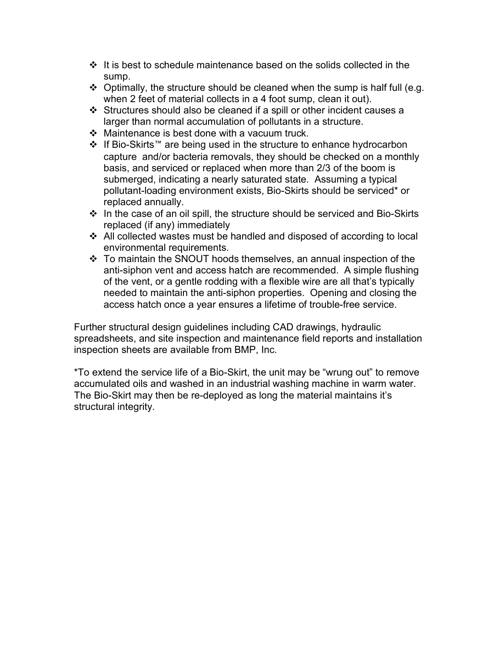- $\cdot \cdot$  It is best to schedule maintenance based on the solids collected in the sump.
- $\div$  Optimally, the structure should be cleaned when the sump is half full (e.g. when 2 feet of material collects in a 4 foot sump, clean it out).
- Structures should also be cleaned if a spill or other incident causes a larger than normal accumulation of pollutants in a structure.
- $\div$  Maintenance is best done with a vacuum truck.
- If Bio-Skirts™ are being used in the structure to enhance hydrocarbon capture and/or bacteria removals, they should be checked on a monthly basis, and serviced or replaced when more than 2/3 of the boom is submerged, indicating a nearly saturated state. Assuming a typical pollutant-loading environment exists, Bio-Skirts should be serviced\* or replaced annually.
- $\cdot$  In the case of an oil spill, the structure should be serviced and Bio-Skirts replaced (if any) immediately
- All collected wastes must be handled and disposed of according to local environmental requirements.
- To maintain the SNOUT hoods themselves, an annual inspection of the anti-siphon vent and access hatch are recommended. A simple flushing of the vent, or a gentle rodding with a flexible wire are all that's typically needed to maintain the anti-siphon properties. Opening and closing the access hatch once a year ensures a lifetime of trouble-free service.

Further structural design guidelines including CAD drawings, hydraulic spreadsheets, and site inspection and maintenance field reports and installation inspection sheets are available from BMP, Inc.

\*To extend the service life of a Bio-Skirt, the unit may be "wrung out" to remove accumulated oils and washed in an industrial washing machine in warm water. The Bio-Skirt may then be re-deployed as long the material maintains it's structural integrity.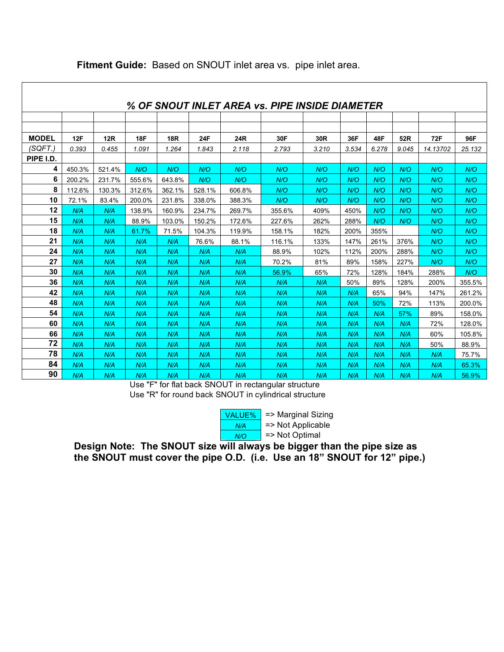| % OF SNOUT INLET AREA vs. PIPE INSIDE DIAMETER |        |        |            |            |            |        |        |                 |       |       |       |          |        |
|------------------------------------------------|--------|--------|------------|------------|------------|--------|--------|-----------------|-------|-------|-------|----------|--------|
|                                                |        |        |            |            |            |        |        |                 |       |       |       |          |        |
|                                                |        |        |            |            |            |        |        |                 |       |       |       |          |        |
| <b>MODEL</b>                                   | 12F    | 12R    | <b>18F</b> | <b>18R</b> | <b>24F</b> | 24R    | 30F    | 30 <sub>R</sub> | 36F   | 48F   | 52R   | 72F      | 96F    |
| (SQFT.)                                        | 0.393  | 0.455  | 1.091      | 1.264      | 1.843      | 2.118  | 2.793  | 3.210           | 3.534 | 6.278 | 9.045 | 14.13702 | 25.132 |
| PIPE I.D.                                      |        |        |            |            |            |        |        |                 |       |       |       |          |        |
| 4                                              | 450.3% | 521.4% | N/O        | N/O        | N/O        | N/O    | N/O    | N/O             | N/O   | N/O   | N/O   | N/O      | N/O    |
| 6                                              | 200.2% | 231.7% | 555.6%     | 643.8%     | N/O        | N/O    | N/O    | N/O             | N/O   | N/O   | N/O   | N/O      | N/O    |
| 8                                              | 112.6% | 130.3% | 312.6%     | 362.1%     | 528.1%     | 606.8% | N/O    | N/O             | N/O   | N/O   | N/O   | N/O      | N/O    |
| 10                                             | 72.1%  | 83.4%  | 200.0%     | 231.8%     | 338.0%     | 388.3% | N/O    | N/O             | N/O   | N/O   | N/O   | N/O      | N/O    |
| 12                                             | N/A    | N/A    | 138.9%     | 160.9%     | 234.7%     | 269.7% | 355.6% | 409%            | 450%  | N/O   | N/O   | N/O      | N/O    |
| 15                                             | N/A    | N/A    | 88.9%      | 103.0%     | 150.2%     | 172.6% | 227.6% | 262%            | 288%  | N/O   | N/O   | N/O      | N/O    |
| 18                                             | N/A    | N/A    | 61.7%      | 71.5%      | 104.3%     | 119.9% | 158.1% | 182%            | 200%  | 355%  |       | N/O      | N/O    |
| 21                                             | N/A    | N/A    | N/A        | N/A        | 76.6%      | 88.1%  | 116.1% | 133%            | 147%  | 261%  | 376%  | N/O      | N/O    |
| 24                                             | N/A    | N/A    | N/A        | N/A        | N/A        | N/A    | 88.9%  | 102%            | 112%  | 200%  | 288%  | N/O      | N/O    |
| 27                                             | N/A    | N/A    | N/A        | N/A        | N/A        | N/A    | 70.2%  | 81%             | 89%   | 158%  | 227%  | N/O      | N/O    |
| 30                                             | N/A    | N/A    | N/A        | N/A        | N/A        | N/A    | 56.9%  | 65%             | 72%   | 128%  | 184%  | 288%     | N/O    |
| 36                                             | N/A    | N/A    | N/A        | N/A        | N/A        | N/A    | N/A    | N/A             | 50%   | 89%   | 128%  | 200%     | 355.5% |
| 42                                             | N/A    | N/A    | N/A        | N/A        | N/A        | N/A    | N/A    | N/A             | N/A   | 65%   | 94%   | 147%     | 261.2% |
| 48                                             | N/A    | N/A    | N/A        | N/A        | N/A        | N/A    | N/A    | N/A             | N/A   | 50%   | 72%   | 113%     | 200.0% |
| 54                                             | N/A    | N/A    | N/A        | N/A        | N/A        | N/A    | N/A    | N/A             | N/A   | N/A   | 57%   | 89%      | 158.0% |
| 60                                             | N/A    | N/A    | N/A        | N/A        | N/A        | N/A    | N/A    | N/A             | N/A   | N/A   | N/A   | 72%      | 128.0% |
| 66                                             | N/A    | N/A    | N/A        | N/A        | N/A        | N/A    | N/A    | N/A             | N/A   | N/A   | N/A   | 60%      | 105.8% |
| 72                                             | N/A    | N/A    | N/A        | N/A        | N/A        | N/A    | N/A    | N/A             | N/A   | N/A   | N/A   | 50%      | 88.9%  |
| 78                                             | N/A    | N/A    | N/A        | N/A        | N/A        | N/A    | N/A    | N/A             | N/A   | N/A   | N/A   | N/A      | 75.7%  |
| 84                                             | N/A    | N/A    | N/A        | N/A        | N/A        | N/A    | N/A    | N/A             | N/A   | N/A   | N/A   | N/A      | 65.3%  |
| 90                                             | N/A    | N/A    | N/A        | N/A        | N/A        | N/A    | N/A    | N/A             | N/A   | N/A   | N/A   | N/A      | 56.9%  |

### **Fitment Guide:** Based on SNOUT inlet area vs. pipe inlet area.

Use "F" for flat back SNOUT in rectangular structure Use "R" for round back SNOUT in cylindrical structure



**Design Note: The SNOUT size will always be bigger than the pipe size as the SNOUT must cover the pipe O.D. (i.e. Use an 18" SNOUT for 12" pipe.)**